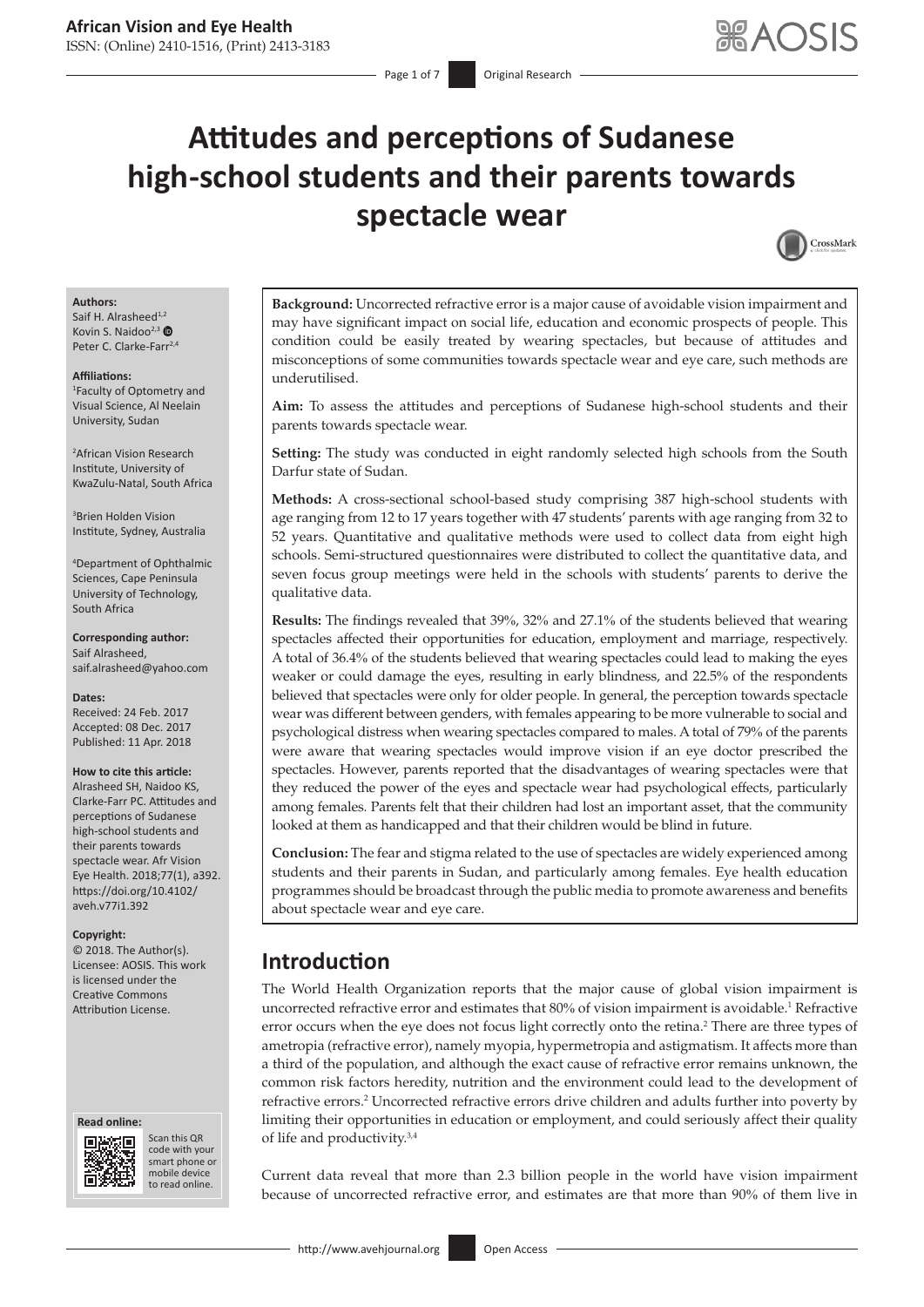# **Attitudes and perceptions of Sudanese high-school students and their parents towards spectacle wear**



#### **Authors:**

Saif H. Alrasheed<sup>1,2</sup> Kovin S. Naidoo<sup>2,3</sup> Peter C. Clarke-Farr<sup>2,4</sup>

#### **Affiliations:**

1 Faculty of Optometry and Visual Science, Al Neelain University, Sudan

2 African Vision Research Institute, University of KwaZulu-Natal, South Africa

3 Brien Holden Vision Institute, Sydney, Australia

4 Department of Ophthalmic Sciences, Cape Peninsula University of Technology, South Africa

**Corresponding author:** Saif Alrasheed, [saif.alrasheed@yahoo.com](mailto:saif.alrasheed@yahoo.com)

**Dates:** Received: 24 Feb. 2017 Accepted: 08 Dec. 2017 Published: 11 Apr. 2018

#### **How to cite this article:**

Alrasheed SH, Naidoo KS, Clarke-Farr PC. Attitudes and perceptions of Sudanese high-school students and their parents towards spectacle wear. Afr Vision Eye Health. 2018;77(1), a392. [https://doi.org/10.4102/](https://doi.org/10.4102/aveh.v77i1.392) [aveh.v77i1.392](https://doi.org/10.4102/aveh.v77i1.392)

#### **Copyright:**

© 2018. The Author(s). Licensee: AOSIS. This work is licensed under the Creative Commons Attribution License.





Scan this QR code with your Scan this QR<br>code with your<br>smart phone or<br>mobile device mobile device to read online. to read online.

**Background:** Uncorrected refractive error is a major cause of avoidable vision impairment and may have significant impact on social life, education and economic prospects of people. This condition could be easily treated by wearing spectacles, but because of attitudes and misconceptions of some communities towards spectacle wear and eye care, such methods are underutilised.

**Aim:** To assess the attitudes and perceptions of Sudanese high-school students and their parents towards spectacle wear.

**Setting:** The study was conducted in eight randomly selected high schools from the South Darfur state of Sudan.

**Methods:** A cross-sectional school-based study comprising 387 high-school students with age ranging from 12 to 17 years together with 47 students' parents with age ranging from 32 to 52 years. Quantitative and qualitative methods were used to collect data from eight high schools. Semi-structured questionnaires were distributed to collect the quantitative data, and seven focus group meetings were held in the schools with students' parents to derive the qualitative data.

**Results:** The findings revealed that 39%, 32% and 27.1% of the students believed that wearing spectacles affected their opportunities for education, employment and marriage, respectively. A total of 36.4% of the students believed that wearing spectacles could lead to making the eyes weaker or could damage the eyes, resulting in early blindness, and 22.5% of the respondents believed that spectacles were only for older people. In general, the perception towards spectacle wear was different between genders, with females appearing to be more vulnerable to social and psychological distress when wearing spectacles compared to males. A total of 79% of the parents were aware that wearing spectacles would improve vision if an eye doctor prescribed the spectacles. However, parents reported that the disadvantages of wearing spectacles were that they reduced the power of the eyes and spectacle wear had psychological effects, particularly among females. Parents felt that their children had lost an important asset, that the community looked at them as handicapped and that their children would be blind in future.

**Conclusion:** The fear and stigma related to the use of spectacles are widely experienced among students and their parents in Sudan, and particularly among females. Eye health education programmes should be broadcast through the public media to promote awareness and benefits about spectacle wear and eye care.

## **Introduction**

The World Health Organization reports that the major cause of global vision impairment is uncorrected refractive error and estimates that 80% of vision impairment is avoidable.<sup>1</sup> Refractive error occurs when the eye does not focus light correctly onto the retina.<sup>2</sup> There are three types of ametropia (refractive error), namely myopia, hypermetropia and astigmatism. It affects more than a third of the population, and although the exact cause of refractive error remains unknown, the common risk factors heredity, nutrition and the environment could lead to the development of refractive errors.<sup>2</sup> Uncorrected refractive errors drive children and adults further into poverty by limiting their opportunities in education or employment, and could seriously affect their quality of life and productivity.3,4

Current data reveal that more than 2.3 billion people in the world have vision impairment because of uncorrected refractive error, and estimates are that more than 90% of them live in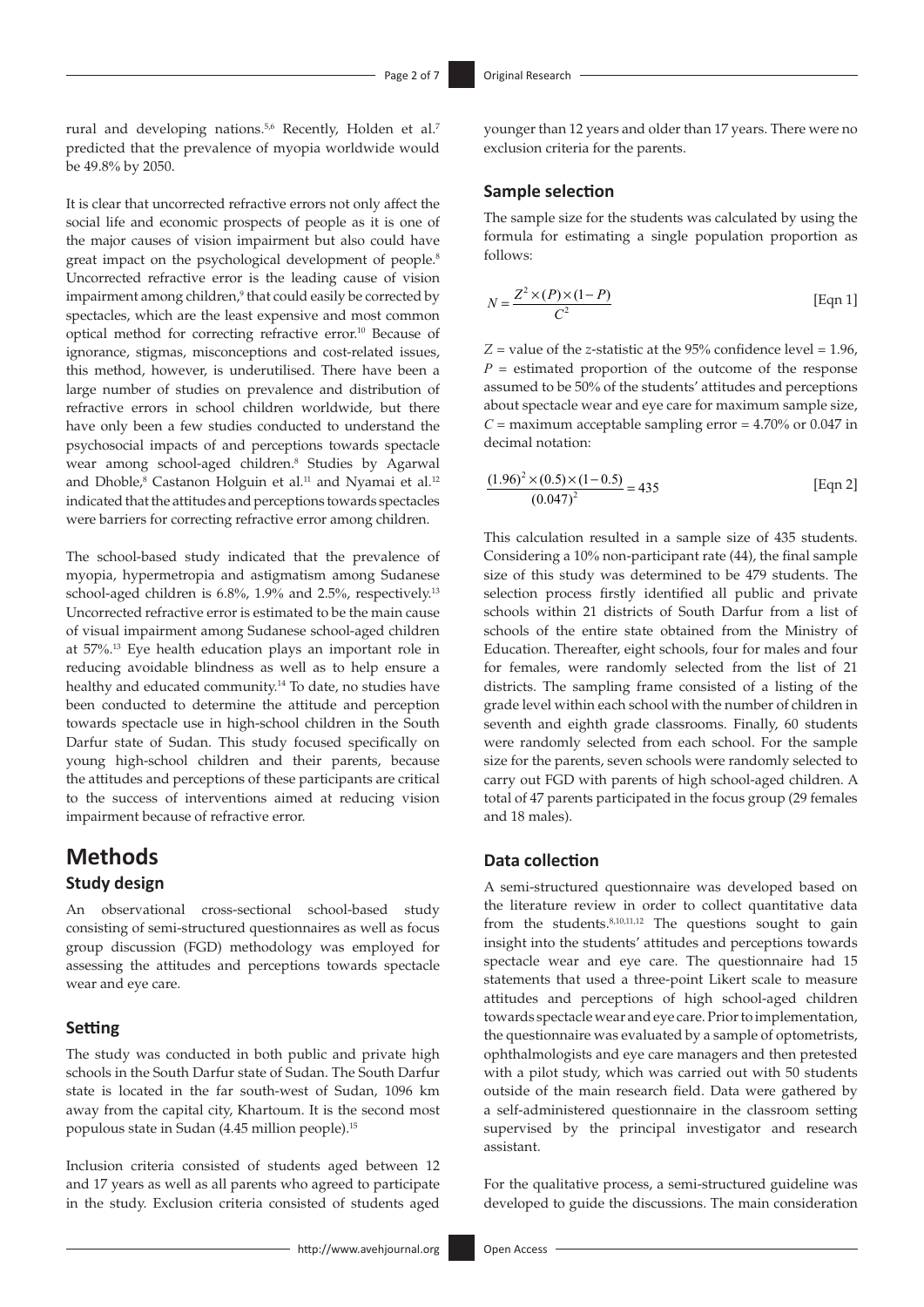rural and developing nations.<sup>5,6</sup> Recently, Holden et al.<sup>7</sup> predicted that the prevalence of myopia worldwide would be 49.8% by 2050.

It is clear that uncorrected refractive errors not only affect the social life and economic prospects of people as it is one of the major causes of vision impairment but also could have great impact on the psychological development of people.<sup>8</sup> Uncorrected refractive error is the leading cause of vision impairment among children,<sup>9</sup> that could easily be corrected by spectacles, which are the least expensive and most common optical method for correcting refractive error.10 Because of ignorance, stigmas, misconceptions and cost-related issues, this method, however, is underutilised. There have been a large number of studies on prevalence and distribution of refractive errors in school children worldwide, but there have only been a few studies conducted to understand the psychosocial impacts of and perceptions towards spectacle wear among school-aged children.8 Studies by Agarwal and Dhoble,<sup>8</sup> Castanon Holguin et al.<sup>11</sup> and Nyamai et al.<sup>12</sup> indicated that the attitudes and perceptions towards spectacles were barriers for correcting refractive error among children.

The school-based study indicated that the prevalence of myopia, hypermetropia and astigmatism among Sudanese school-aged children is 6.8%, 1.9% and 2.5%, respectively.13 Uncorrected refractive error is estimated to be the main cause of visual impairment among Sudanese school-aged children at 57%. 13 Eye health education plays an important role in reducing avoidable blindness as well as to help ensure a healthy and educated community.14 To date, no studies have been conducted to determine the attitude and perception towards spectacle use in high-school children in the South Darfur state of Sudan. This study focused specifically on young high-school children and their parents, because the attitudes and perceptions of these participants are critical to the success of interventions aimed at reducing vision impairment because of refractive error.

## **Methods**

#### **Study design**

An observational cross-sectional school-based study consisting of semi-structured questionnaires as well as focus group discussion (FGD) methodology was employed for assessing the attitudes and perceptions towards spectacle wear and eye care.

#### **Setting**

The study was conducted in both public and private high schools in the South Darfur state of Sudan. The South Darfur state is located in the far south-west of Sudan, 1096 km away from the capital city, Khartoum. It is the second most populous state in Sudan (4.45 million people).15

Inclusion criteria consisted of students aged between 12 and 17 years as well as all parents who agreed to participate in the study. Exclusion criteria consisted of students aged

younger than 12 years and older than 17 years. There were no exclusion criteria for the parents.

#### **Sample selection**

The sample size for the students was calculated by using the formula for estimating a single population proportion as follows:

$$
N = \frac{Z^2 \times (P) \times (1 - P)}{C^2}
$$
 [Eqn 1]

 $Z =$  value of the *z*-statistic at the 95% confidence level = 1.96.  $P =$  estimated proportion of the outcome of the response assumed to be 50% of the students' attitudes and perceptions about spectacle wear and eye care for maximum sample size,  $C =$  maximum acceptable sampling error  $= 4.70\%$  or 0.047 in decimal notation:

$$
\frac{(1.96)^2 \times (0.5) \times (1 - 0.5)}{(0.047)^2} = 435
$$
 [Eqn 2]

This calculation resulted in a sample size of 435 students. Considering a 10% non-participant rate (44), the final sample size of this study was determined to be 479 students. The selection process firstly identified all public and private schools within 21 districts of South Darfur from a list of schools of the entire state obtained from the Ministry of Education. Thereafter, eight schools, four for males and four for females, were randomly selected from the list of 21 districts. The sampling frame consisted of a listing of the grade level within each school with the number of children in seventh and eighth grade classrooms. Finally, 60 students were randomly selected from each school. For the sample size for the parents, seven schools were randomly selected to carry out FGD with parents of high school-aged children. A total of 47 parents participated in the focus group (29 females and 18 males).

#### **Data collection**

A semi-structured questionnaire was developed based on the literature review in order to collect quantitative data from the students.8,10,11,12 The questions sought to gain insight into the students' attitudes and perceptions towards spectacle wear and eye care. The questionnaire had 15 statements that used a three-point Likert scale to measure attitudes and perceptions of high school-aged children towards spectacle wear and eye care. Prior to implementation, the questionnaire was evaluated by a sample of optometrists, ophthalmologists and eye care managers and then pretested with a pilot study, which was carried out with 50 students outside of the main research field. Data were gathered by a self-administered questionnaire in the classroom setting supervised by the principal investigator and research assistant.

For the qualitative process, a semi-structured guideline was developed to guide the discussions. The main consideration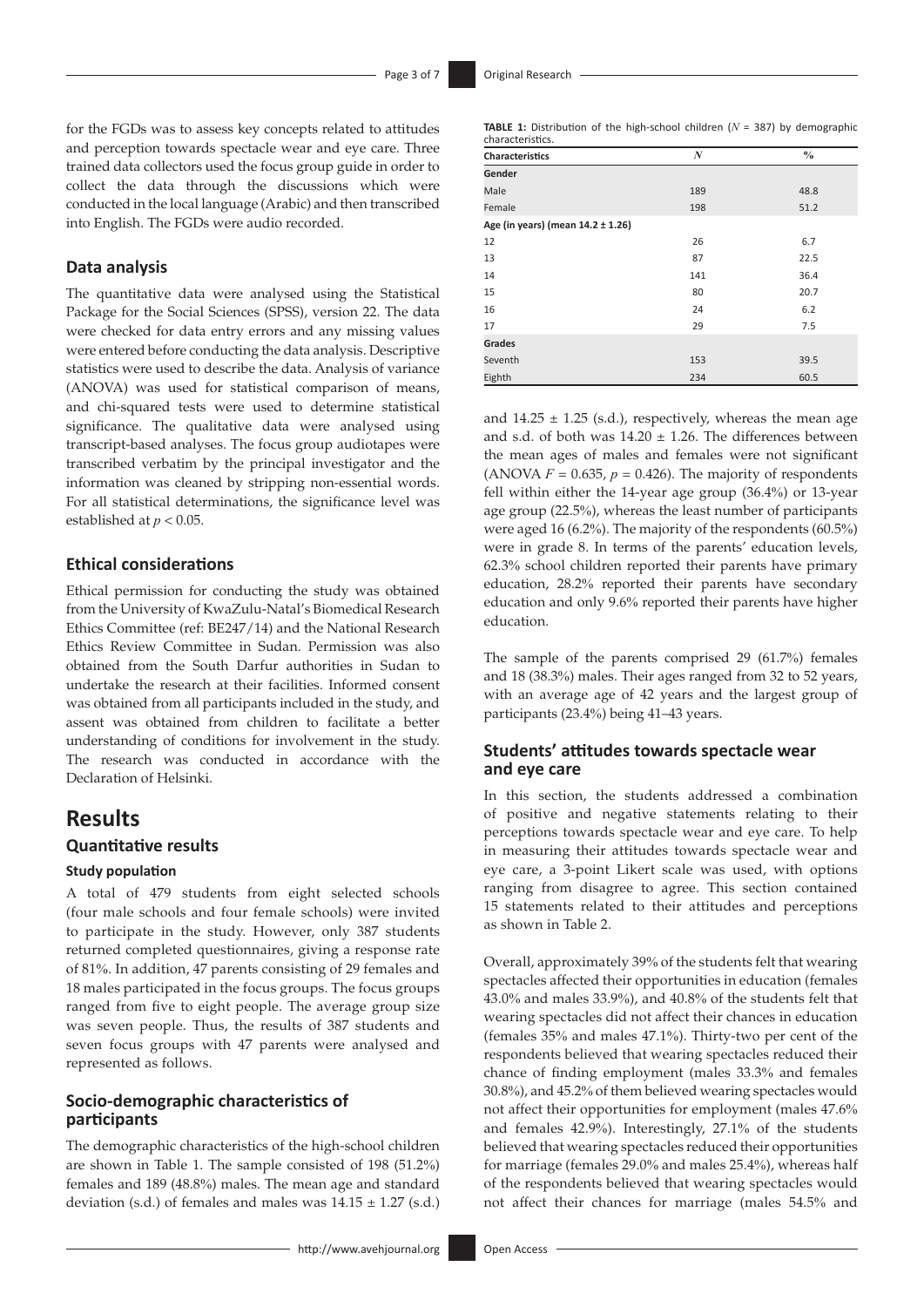for the FGDs was to assess key concepts related to attitudes and perception towards spectacle wear and eye care. Three trained data collectors used the focus group guide in order to collect the data through the discussions which were conducted in the local language (Arabic) and then transcribed into English. The FGDs were audio recorded.

#### **Data analysis**

The quantitative data were analysed using the Statistical Package for the Social Sciences (SPSS), version 22. The data were checked for data entry errors and any missing values were entered before conducting the data analysis. Descriptive statistics were used to describe the data. Analysis of variance (ANOVA) was used for statistical comparison of means, and chi-squared tests were used to determine statistical significance. The qualitative data were analysed using transcript-based analyses. The focus group audiotapes were transcribed verbatim by the principal investigator and the information was cleaned by stripping non-essential words. For all statistical determinations, the significance level was established at *p* < 0.05.

#### **Ethical considerations**

Ethical permission for conducting the study was obtained from the University of KwaZulu-Natal's Biomedical Research Ethics Committee (ref: BE247/14) and the National Research Ethics Review Committee in Sudan. Permission was also obtained from the South Darfur authorities in Sudan to undertake the research at their facilities. Informed consent was obtained from all participants included in the study, and assent was obtained from children to facilitate a better understanding of conditions for involvement in the study. The research was conducted in accordance with the Declaration of Helsinki.

## **Results**

### **Quantitative results**

#### **Study population**

A total of 479 students from eight selected schools (four male schools and four female schools) were invited to participate in the study. However, only 387 students returned completed questionnaires, giving a response rate of 81%. In addition, 47 parents consisting of 29 females and 18 males participated in the focus groups. The focus groups ranged from five to eight people. The average group size was seven people. Thus, the results of 387 students and seven focus groups with 47 parents were analysed and represented as follows.

### **Socio-demographic characteristics of participants**

The demographic characteristics of the high-school children are shown in Table 1. The sample consisted of 198 (51.2%) females and 189 (48.8%) males. The mean age and standard deviation (s.d.) of females and males was  $14.15 \pm 1.27$  (s.d.)

**TABLE 1:** Distribution of the high-school children (*N* = 387) by demographic characteristics.

| Characteristics                   | $\boldsymbol{N}$ | $\frac{0}{0}$ |
|-----------------------------------|------------------|---------------|
| Gender                            |                  |               |
| Male                              | 189              | 48.8          |
| Female                            | 198              | 51.2          |
| Age (in years) (mean 14.2 ± 1.26) |                  |               |
| 12                                | 26               | 6.7           |
| 13                                | 87               | 22.5          |
| 14                                | 141              | 36.4          |
| 15                                | 80               | 20.7          |
| 16                                | 24               | 6.2           |
| 17                                | 29               | 7.5           |
| Grades                            |                  |               |
| Seventh                           | 153              | 39.5          |
| Eighth                            | 234              | 60.5          |

and  $14.25 \pm 1.25$  (s.d.), respectively, whereas the mean age and s.d. of both was  $14.20 \pm 1.26$ . The differences between the mean ages of males and females were not significant (ANOVA  $F = 0.635$ ,  $p = 0.426$ ). The majority of respondents fell within either the 14-year age group (36.4%) or 13-year age group (22.5%), whereas the least number of participants were aged 16 (6.2%). The majority of the respondents (60.5%) were in grade 8. In terms of the parents' education levels, 62.3% school children reported their parents have primary education, 28.2% reported their parents have secondary education and only 9.6% reported their parents have higher education.

The sample of the parents comprised 29 (61.7%) females and 18 (38.3%) males. Their ages ranged from 32 to 52 years, with an average age of 42 years and the largest group of participants (23.4%) being 41–43 years.

### **Students' attitudes towards spectacle wear and eye care**

In this section, the students addressed a combination of positive and negative statements relating to their perceptions towards spectacle wear and eye care. To help in measuring their attitudes towards spectacle wear and eye care, a 3-point Likert scale was used, with options ranging from disagree to agree. This section contained 15 statements related to their attitudes and perceptions as shown in Table 2.

Overall, approximately 39% of the students felt that wearing spectacles affected their opportunities in education (females 43.0% and males 33.9%), and 40.8% of the students felt that wearing spectacles did not affect their chances in education (females 35% and males 47.1%). Thirty-two per cent of the respondents believed that wearing spectacles reduced their chance of finding employment (males 33.3% and females 30.8%), and 45.2% of them believed wearing spectacles would not affect their opportunities for employment (males 47.6% and females 42.9%). Interestingly, 27.1% of the students believed that wearing spectacles reduced their opportunities for marriage (females 29.0% and males 25.4%), whereas half of the respondents believed that wearing spectacles would not affect their chances for marriage (males 54.5% and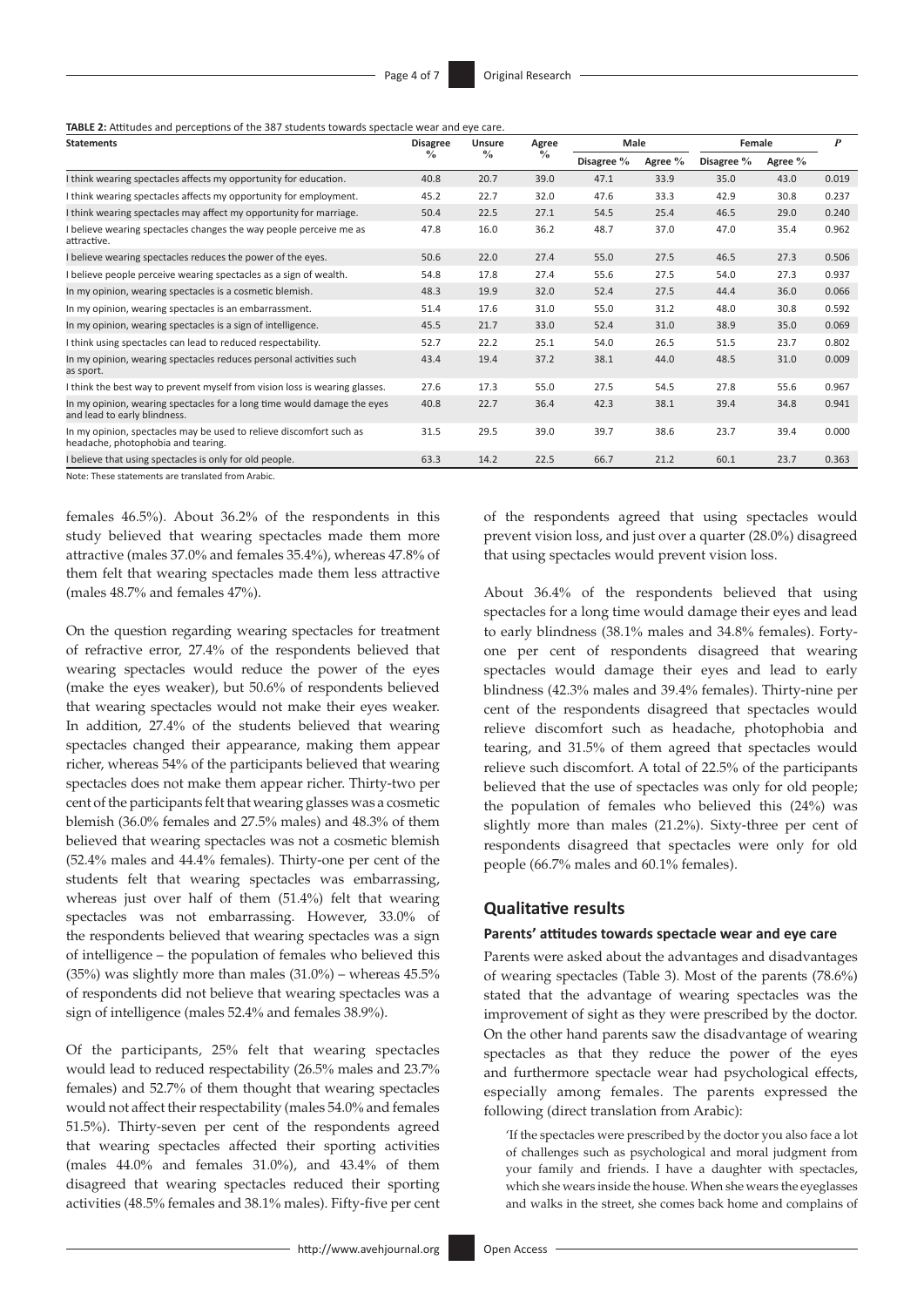**TABLE 2:** Attitudes and perceptions of the 387 students towards spectacle wear and eye care.

| <b>Statements</b>                                                                                         | <b>Disagree</b><br>% | <b>Unsure</b><br>$\%$ | Agree<br>$\frac{0}{0}$ | Male       |         | Female        |         | $\boldsymbol{P}$ |
|-----------------------------------------------------------------------------------------------------------|----------------------|-----------------------|------------------------|------------|---------|---------------|---------|------------------|
|                                                                                                           |                      |                       |                        | Disagree % | Agree % | Disagree $\%$ | Agree % |                  |
| I think wearing spectacles affects my opportunity for education.                                          | 40.8                 | 20.7                  | 39.0                   | 47.1       | 33.9    | 35.0          | 43.0    | 0.019            |
| I think wearing spectacles affects my opportunity for employment.                                         | 45.2                 | 22.7                  | 32.0                   | 47.6       | 33.3    | 42.9          | 30.8    | 0.237            |
| I think wearing spectacles may affect my opportunity for marriage.                                        | 50.4                 | 22.5                  | 27.1                   | 54.5       | 25.4    | 46.5          | 29.0    | 0.240            |
| I believe wearing spectacles changes the way people perceive me as<br>attractive.                         | 47.8                 | 16.0                  | 36.2                   | 48.7       | 37.0    | 47.0          | 35.4    | 0.962            |
| I believe wearing spectacles reduces the power of the eyes.                                               | 50.6                 | 22.0                  | 27.4                   | 55.0       | 27.5    | 46.5          | 27.3    | 0.506            |
| I believe people perceive wearing spectacles as a sign of wealth.                                         | 54.8                 | 17.8                  | 27.4                   | 55.6       | 27.5    | 54.0          | 27.3    | 0.937            |
| In my opinion, wearing spectacles is a cosmetic blemish.                                                  | 48.3                 | 19.9                  | 32.0                   | 52.4       | 27.5    | 44.4          | 36.0    | 0.066            |
| In my opinion, wearing spectacles is an embarrassment.                                                    | 51.4                 | 17.6                  | 31.0                   | 55.0       | 31.2    | 48.0          | 30.8    | 0.592            |
| In my opinion, wearing spectacles is a sign of intelligence.                                              | 45.5                 | 21.7                  | 33.0                   | 52.4       | 31.0    | 38.9          | 35.0    | 0.069            |
| I think using spectacles can lead to reduced respectability.                                              | 52.7                 | 22.2                  | 25.1                   | 54.0       | 26.5    | 51.5          | 23.7    | 0.802            |
| In my opinion, wearing spectacles reduces personal activities such<br>as sport.                           | 43.4                 | 19.4                  | 37.2                   | 38.1       | 44.0    | 48.5          | 31.0    | 0.009            |
| I think the best way to prevent myself from vision loss is wearing glasses.                               | 27.6                 | 17.3                  | 55.0                   | 27.5       | 54.5    | 27.8          | 55.6    | 0.967            |
| In my opinion, wearing spectacles for a long time would damage the eyes<br>and lead to early blindness.   | 40.8                 | 22.7                  | 36.4                   | 42.3       | 38.1    | 39.4          | 34.8    | 0.941            |
| In my opinion, spectacles may be used to relieve discomfort such as<br>headache, photophobia and tearing. | 31.5                 | 29.5                  | 39.0                   | 39.7       | 38.6    | 23.7          | 39.4    | 0.000            |
| I believe that using spectacles is only for old people.                                                   | 63.3                 | 14.2                  | 22.5                   | 66.7       | 21.2    | 60.1          | 23.7    | 0.363            |
| Note: These statements are translated from Arabic.                                                        |                      |                       |                        |            |         |               |         |                  |

females 46.5%). About 36.2% of the respondents in this study believed that wearing spectacles made them more attractive (males 37.0% and females 35.4%), whereas 47.8% of them felt that wearing spectacles made them less attractive (males 48.7% and females 47%).

On the question regarding wearing spectacles for treatment of refractive error, 27.4% of the respondents believed that wearing spectacles would reduce the power of the eyes (make the eyes weaker), but 50.6% of respondents believed that wearing spectacles would not make their eyes weaker. In addition, 27.4% of the students believed that wearing spectacles changed their appearance, making them appear richer, whereas 54% of the participants believed that wearing spectacles does not make them appear richer. Thirty-two per cent of the participants felt that wearing glasses was a cosmetic blemish (36.0% females and 27.5% males) and 48.3% of them believed that wearing spectacles was not a cosmetic blemish (52.4% males and 44.4% females). Thirty-one per cent of the students felt that wearing spectacles was embarrassing, whereas just over half of them (51.4%) felt that wearing spectacles was not embarrassing. However, 33.0% of the respondents believed that wearing spectacles was a sign of intelligence – the population of females who believed this (35%) was slightly more than males  $(31.0\%)$  – whereas  $45.5\%$ of respondents did not believe that wearing spectacles was a sign of intelligence (males 52.4% and females 38.9%).

Of the participants, 25% felt that wearing spectacles would lead to reduced respectability (26.5% males and 23.7% females) and 52.7% of them thought that wearing spectacles would not affect their respectability (males 54.0% and females 51.5%). Thirty-seven per cent of the respondents agreed that wearing spectacles affected their sporting activities (males 44.0% and females 31.0%), and 43.4% of them disagreed that wearing spectacles reduced their sporting activities (48.5% females and 38.1% males). Fifty-five per cent of the respondents agreed that using spectacles would prevent vision loss, and just over a quarter (28.0%) disagreed that using spectacles would prevent vision loss.

About 36.4% of the respondents believed that using spectacles for a long time would damage their eyes and lead to early blindness (38.1% males and 34.8% females). Fortyone per cent of respondents disagreed that wearing spectacles would damage their eyes and lead to early blindness (42.3% males and 39.4% females). Thirty-nine per cent of the respondents disagreed that spectacles would relieve discomfort such as headache, photophobia and tearing, and 31.5% of them agreed that spectacles would relieve such discomfort. A total of 22.5% of the participants believed that the use of spectacles was only for old people; the population of females who believed this (24%) was slightly more than males (21.2%). Sixty-three per cent of respondents disagreed that spectacles were only for old people (66.7% males and 60.1% females).

#### **Qualitative results**

#### **Parents' attitudes towards spectacle wear and eye care**

Parents were asked about the advantages and disadvantages of wearing spectacles (Table 3). Most of the parents (78.6%) stated that the advantage of wearing spectacles was the improvement of sight as they were prescribed by the doctor. On the other hand parents saw the disadvantage of wearing spectacles as that they reduce the power of the eyes and furthermore spectacle wear had psychological effects, especially among females. The parents expressed the following (direct translation from Arabic):

'If the spectacles were prescribed by the doctor you also face a lot of challenges such as psychological and moral judgment from your family and friends. I have a daughter with spectacles, which she wears inside the house. When she wears the eyeglasses and walks in the street, she comes back home and complains of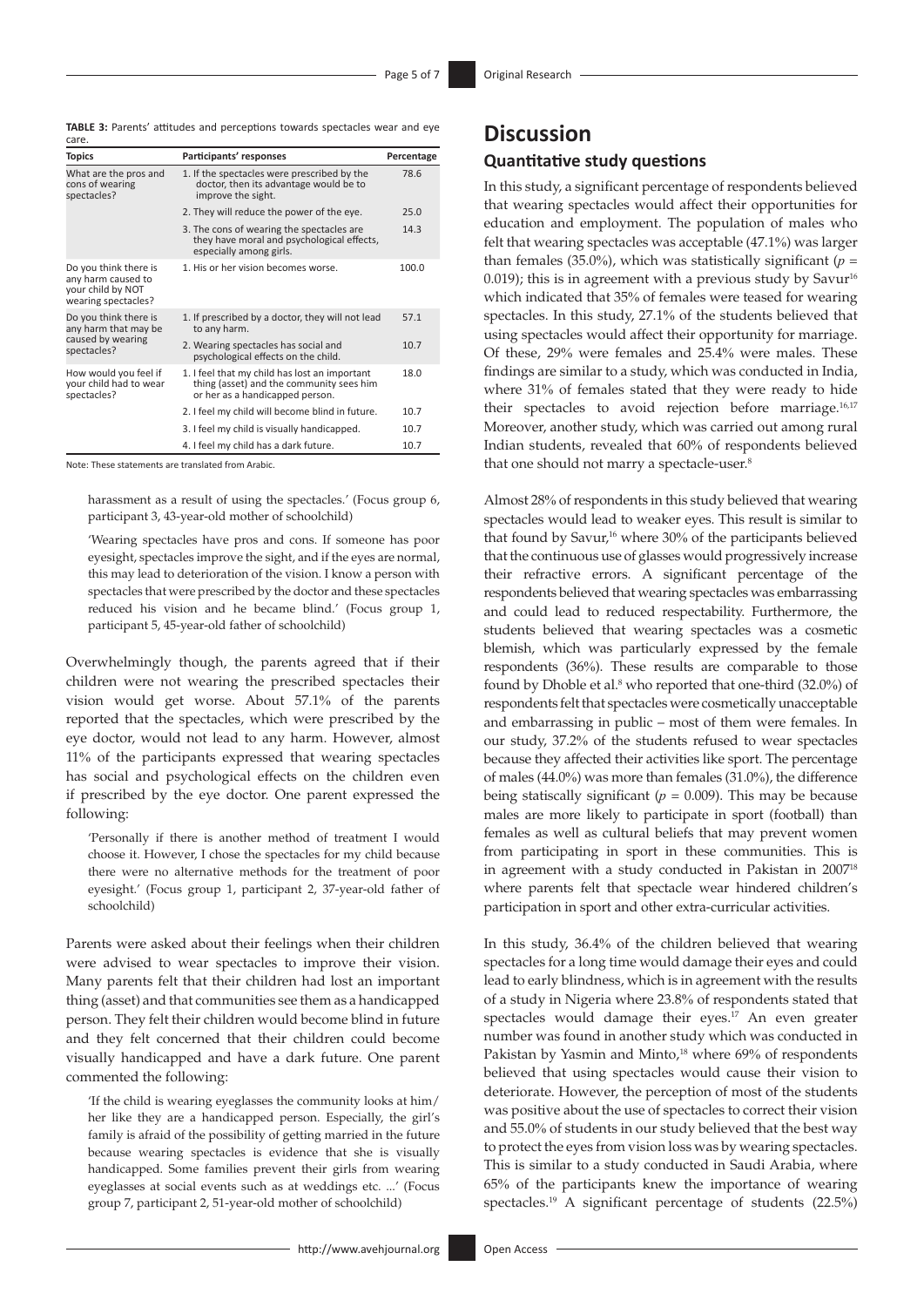**TABLE 3:** Parents' attitudes and perceptions towards spectacles wear and eye

| care.                                                                                   |                                                                                                                              |            |
|-----------------------------------------------------------------------------------------|------------------------------------------------------------------------------------------------------------------------------|------------|
| <b>Topics</b>                                                                           | Participants' responses                                                                                                      | Percentage |
| What are the pros and<br>cons of wearing<br>spectacles?                                 | 1. If the spectacles were prescribed by the<br>doctor, then its advantage would be to<br>improve the sight.                  | 78.6       |
|                                                                                         | 2. They will reduce the power of the eye.                                                                                    | 25.0       |
|                                                                                         | 3. The cons of wearing the spectacles are<br>they have moral and psychological effects,<br>especially among girls.           | 14.3       |
| Do you think there is<br>any harm caused to<br>your child by NOT<br>wearing spectacles? | 1. His or her vision becomes worse.                                                                                          | 100.0      |
| Do you think there is<br>any harm that may be<br>caused by wearing<br>spectacles?       | 1. If prescribed by a doctor, they will not lead<br>to any harm.                                                             | 57.1       |
|                                                                                         | 2. Wearing spectacles has social and<br>psychological effects on the child.                                                  | 10.7       |
| How would you feel if<br>your child had to wear<br>spectacles?                          | 1. I feel that my child has lost an important<br>thing (asset) and the community sees him<br>or her as a handicapped person. | 18.0       |
|                                                                                         | 2. I feel my child will become blind in future.                                                                              | 10.7       |
|                                                                                         | 3. I feel my child is visually handicapped.                                                                                  | 10.7       |
|                                                                                         | 4. I feel my child has a dark future.                                                                                        | 10.7       |

Note: These statements are translated from Arabic.

harassment as a result of using the spectacles.' (Focus group 6, participant 3, 43-year-old mother of schoolchild)

'Wearing spectacles have pros and cons. If someone has poor eyesight, spectacles improve the sight, and if the eyes are normal, this may lead to deterioration of the vision. I know a person with spectacles that were prescribed by the doctor and these spectacles reduced his vision and he became blind.' (Focus group 1, participant 5, 45-year-old father of schoolchild)

Overwhelmingly though, the parents agreed that if their children were not wearing the prescribed spectacles their vision would get worse. About 57.1% of the parents reported that the spectacles, which were prescribed by the eye doctor, would not lead to any harm. However, almost 11% of the participants expressed that wearing spectacles has social and psychological effects on the children even if prescribed by the eye doctor. One parent expressed the following:

'Personally if there is another method of treatment I would choose it. However, I chose the spectacles for my child because there were no alternative methods for the treatment of poor eyesight.' (Focus group 1, participant 2, 37-year-old father of schoolchild)

Parents were asked about their feelings when their children were advised to wear spectacles to improve their vision. Many parents felt that their children had lost an important thing (asset) and that communities see them as a handicapped person. They felt their children would become blind in future and they felt concerned that their children could become visually handicapped and have a dark future. One parent commented the following:

'If the child is wearing eyeglasses the community looks at him/ her like they are a handicapped person. Especially, the girl's family is afraid of the possibility of getting married in the future because wearing spectacles is evidence that she is visually handicapped. Some families prevent their girls from wearing eyeglasses at social events such as at weddings etc. ...' (Focus group 7, participant 2, 51-year-old mother of schoolchild)

# **Discussion**

## **Quantitative study questions**

In this study, a significant percentage of respondents believed that wearing spectacles would affect their opportunities for education and employment. The population of males who felt that wearing spectacles was acceptable (47.1%) was larger than females (35.0%), which was statistically significant ( $p =$ 0.019); this is in agreement with a previous study by Savur<sup>16</sup> which indicated that 35% of females were teased for wearing spectacles. In this study, 27.1% of the students believed that using spectacles would affect their opportunity for marriage. Of these, 29% were females and 25.4% were males. These findings are similar to a study, which was conducted in India, where 31% of females stated that they were ready to hide their spectacles to avoid rejection before marriage.<sup>16,17</sup> Moreover, another study, which was carried out among rural Indian students, revealed that 60% of respondents believed that one should not marry a spectacle-user.<sup>8</sup>

Almost 28% of respondents in this study believed that wearing spectacles would lead to weaker eyes. This result is similar to that found by Savur,<sup>16</sup> where 30% of the participants believed that the continuous use of glasses would progressively increase their refractive errors. A significant percentage of the respondents believed that wearing spectacles was embarrassing and could lead to reduced respectability. Furthermore, the students believed that wearing spectacles was a cosmetic blemish, which was particularly expressed by the female respondents (36%). These results are comparable to those found by Dhoble et al.<sup>8</sup> who reported that one-third (32.0%) of respondents felt that spectacles were cosmetically unacceptable and embarrassing in public – most of them were females. In our study, 37.2% of the students refused to wear spectacles because they affected their activities like sport. The percentage of males (44.0%) was more than females (31.0%), the difference being statiscally significant ( $p = 0.009$ ). This may be because males are more likely to participate in sport (football) than females as well as cultural beliefs that may prevent women from participating in sport in these communities. This is in agreement with a study conducted in Pakistan in 200718 where parents felt that spectacle wear hindered children's participation in sport and other extra-curricular activities.

In this study, 36.4% of the children believed that wearing spectacles for a long time would damage their eyes and could lead to early blindness, which is in agreement with the results of a study in Nigeria where 23.8% of respondents stated that spectacles would damage their eyes.<sup>17</sup> An even greater number was found in another study which was conducted in Pakistan by Yasmin and Minto,<sup>18</sup> where 69% of respondents believed that using spectacles would cause their vision to deteriorate. However, the perception of most of the students was positive about the use of spectacles to correct their vision and 55.0% of students in our study believed that the best way to protect the eyes from vision loss was by wearing spectacles. This is similar to a study conducted in Saudi Arabia, where 65% of the participants knew the importance of wearing spectacles.19 A significant percentage of students (22.5%)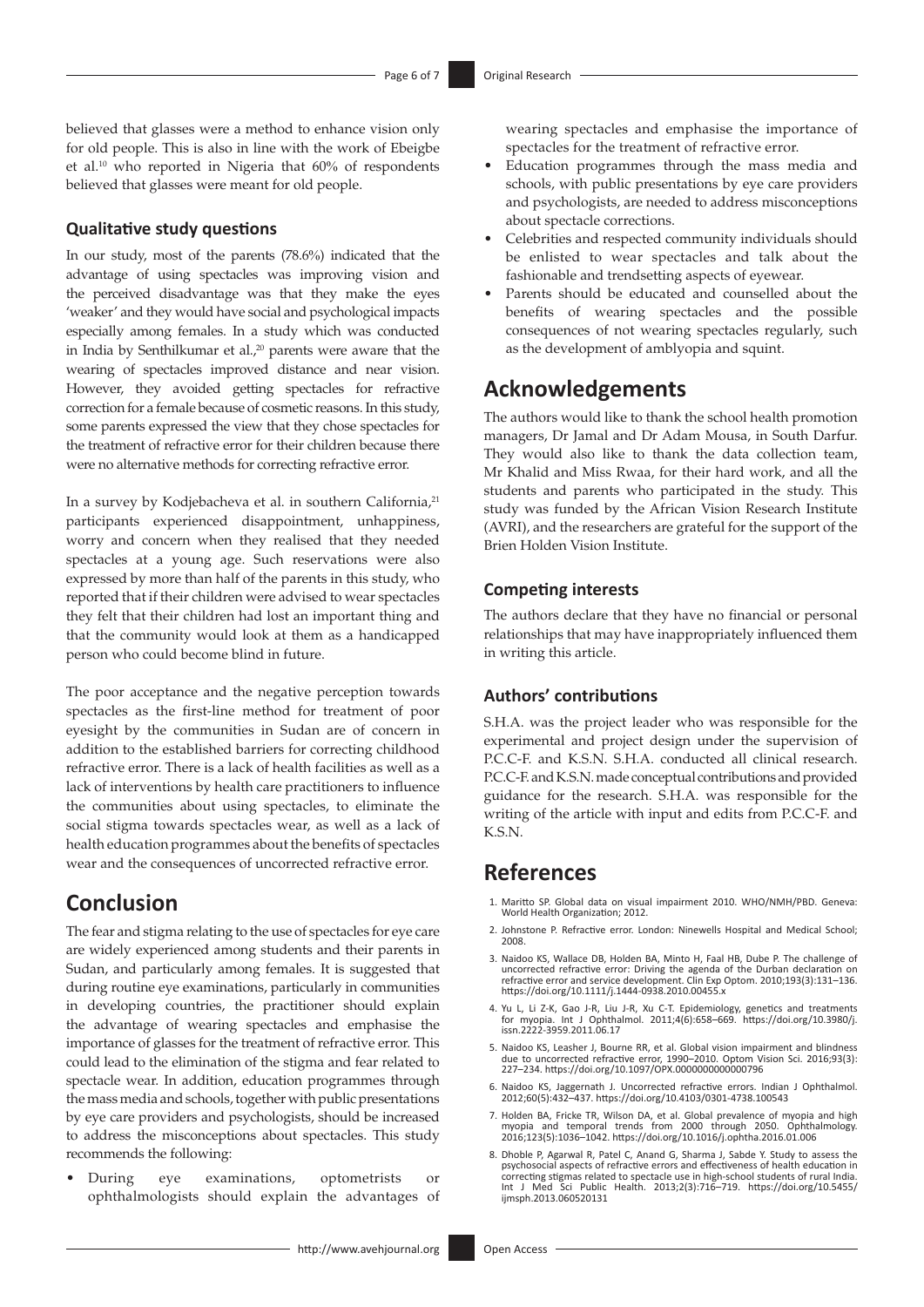believed that glasses were a method to enhance vision only for old people. This is also in line with the work of Ebeigbe et al.10 who reported in Nigeria that 60% of respondents believed that glasses were meant for old people.

#### **Qualitative study questions**

In our study, most of the parents (78.6%) indicated that the advantage of using spectacles was improving vision and the perceived disadvantage was that they make the eyes 'weaker' and they would have social and psychological impacts especially among females. In a study which was conducted in India by Senthilkumar et al.,<sup>20</sup> parents were aware that the wearing of spectacles improved distance and near vision. However, they avoided getting spectacles for refractive correction for a female because of cosmetic reasons. In this study, some parents expressed the view that they chose spectacles for the treatment of refractive error for their children because there were no alternative methods for correcting refractive error.

In a survey by Kodjebacheva et al. in southern California,<sup>21</sup> participants experienced disappointment, unhappiness, worry and concern when they realised that they needed spectacles at a young age. Such reservations were also expressed by more than half of the parents in this study, who reported that if their children were advised to wear spectacles they felt that their children had lost an important thing and that the community would look at them as a handicapped person who could become blind in future.

The poor acceptance and the negative perception towards spectacles as the first-line method for treatment of poor eyesight by the communities in Sudan are of concern in addition to the established barriers for correcting childhood refractive error. There is a lack of health facilities as well as a lack of interventions by health care practitioners to influence the communities about using spectacles, to eliminate the social stigma towards spectacles wear, as well as a lack of health education programmes about the benefits of spectacles wear and the consequences of uncorrected refractive error.

## **Conclusion**

The fear and stigma relating to the use of spectacles for eye care are widely experienced among students and their parents in Sudan, and particularly among females. It is suggested that during routine eye examinations, particularly in communities in developing countries, the practitioner should explain the advantage of wearing spectacles and emphasise the importance of glasses for the treatment of refractive error. This could lead to the elimination of the stigma and fear related to spectacle wear. In addition, education programmes through the mass media and schools, together with public presentations by eye care providers and psychologists, should be increased to address the misconceptions about spectacles. This study recommends the following:

During eye examinations, optometrists or ophthalmologists should explain the advantages of wearing spectacles and emphasise the importance of spectacles for the treatment of refractive error.

- Education programmes through the mass media and schools, with public presentations by eye care providers and psychologists, are needed to address misconceptions about spectacle corrections.
- Celebrities and respected community individuals should be enlisted to wear spectacles and talk about the fashionable and trendsetting aspects of eyewear.
- Parents should be educated and counselled about the benefits of wearing spectacles and the possible consequences of not wearing spectacles regularly, such as the development of amblyopia and squint.

## **Acknowledgements**

The authors would like to thank the school health promotion managers, Dr Jamal and Dr Adam Mousa, in South Darfur. They would also like to thank the data collection team, Mr Khalid and Miss Rwaa, for their hard work, and all the students and parents who participated in the study. This study was funded by the African Vision Research Institute (AVRI), and the researchers are grateful for the support of the Brien Holden Vision Institute.

#### **Competing interests**

The authors declare that they have no financial or personal relationships that may have inappropriately influenced them in writing this article.

#### **Authors' contributions**

S.H.A. was the project leader who was responsible for the experimental and project design under the supervision of P.C.C-F. and K.S.N. S.H.A. conducted all clinical research. P.C.C-F. and K.S.N. made conceptual contributions and provided guidance for the research. S.H.A. was responsible for the writing of the article with input and edits from P.C.C-F. and K.S.N.

## **References**

- 1. Maritto SP. Global data on visual impairment 2010. WHO/NMH/PBD. Geneva: World Health Organization; 2012.
- 2. Johnstone P. Refractive error. London: Ninewells Hospital and Medical School; 2008.
- 3. Naidoo KS, Wallace DB, Holden BA, Minto H, Faal HB, Dube P. The challenge of uncorrected refractive error: Driving the agenda of the Durban declaration on refractive error and service development. Clin Exp Optom. 2010;193(3):131–136. <https://doi.org/10.1111/j.1444-0938.2010.00455.x>
- 4. Yu L, Li Z-K, Gao J-R, Liu J-R, Xu C-T. Epidemiology, genetics and treatments for myopia. Int J Ophthalmol. 2011;4(6):658–669. [https://doi.org/10.3980/j.](https://doi.org/10.3980/j.issn.2222-3959.2011.06.17)<br>[issn.2222-3959.2011.06.17](https://doi.org/10.3980/j.issn.2222-3959.2011.06.17)
- 5. Naidoo KS, Leasher J, Bourne RR, et al. Global vision impairment and blindness due to uncorrected refractive error, 1990–2010. Optom Vision Sci. 2016;93(3): 227–234.<https://doi.org/10.1097/OPX.0000000000000796>
- 6. Naidoo KS, Jaggernath J. Uncorrected refractive errors. Indian J Ophthalmol. 2012;60(5):432–437.<https://doi.org/10.4103/0301-4738.100543>
- 7. Holden BA, Fricke TR, Wilson DA, et al. Global prevalence of myopia and high myopia and temporal trends from 2000 through 2050. Ophthalmology. 2016;123(5):1036–1042. <https://doi.org/10.1016/j.ophtha.2016.01.006>
- 8. Dhoble P, Agarwal R, Patel C, Anand G, Sharma J, Sabde Y. Study to assess the psychosocial aspects of refractive errors and effectiveness of health education in<br>correcting stigmas related to spectacle use in high-school students of rural India.<br>Int J Med Sci Public Health. 2013;2(3):716–719. https:/ [ijmsph.2013.060520131](https://doi.org/10.5455/ijmsph.2013.060520131)